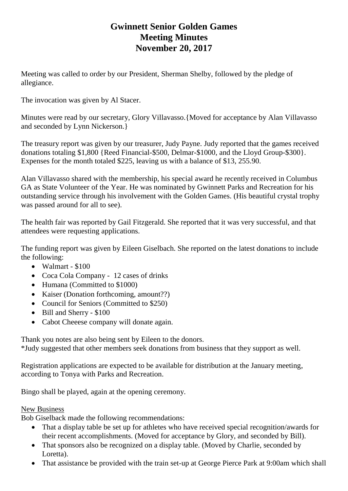## **Gwinnett Senior Golden Games Meeting Minutes November 20, 2017**

Meeting was called to order by our President, Sherman Shelby, followed by the pledge of allegiance.

The invocation was given by Al Stacer.

Minutes were read by our secretary, Glory Villavasso.{Moved for acceptance by Alan Villavasso and seconded by Lynn Nickerson.}

The treasury report was given by our treasurer, Judy Payne. Judy reported that the games received donations totaling \$1,800 {Reed Financial-\$500, Delmar-\$1000, and the Lloyd Group-\$300}. Expenses for the month totaled \$225, leaving us with a balance of \$13, 255.90.

Alan Villavasso shared with the membership, his special award he recently received in Columbus GA as State Volunteer of the Year. He was nominated by Gwinnett Parks and Recreation for his outstanding service through his involvement with the Golden Games. (His beautiful crystal trophy was passed around for all to see).

The health fair was reported by Gail Fitzgerald. She reported that it was very successful, and that attendees were requesting applications.

The funding report was given by Eileen Giselbach. She reported on the latest donations to include the following:

- Walmart \$100
- Coca Cola Company 12 cases of drinks
- Humana (Committed to \$1000)
- Kaiser (Donation forthcoming, amount??)
- Council for Seniors (Committed to \$250)
- Bill and Sherry \$100
- Cabot Cheeese company will donate again.

Thank you notes are also being sent by Eileen to the donors. \*Judy suggested that other members seek donations from business that they support as well.

Registration applications are expected to be available for distribution at the January meeting, according to Tonya with Parks and Recreation.

Bingo shall be played, again at the opening ceremony.

## New Business

Bob Giselback made the following recommendations:

- That a display table be set up for athletes who have received special recognition/awards for their recent accomplishments. (Moved for acceptance by Glory, and seconded by Bill).
- That sponsors also be recognized on a display table. (Moved by Charlie, seconded by Loretta).
- That assistance be provided with the train set-up at George Pierce Park at 9:00am which shall